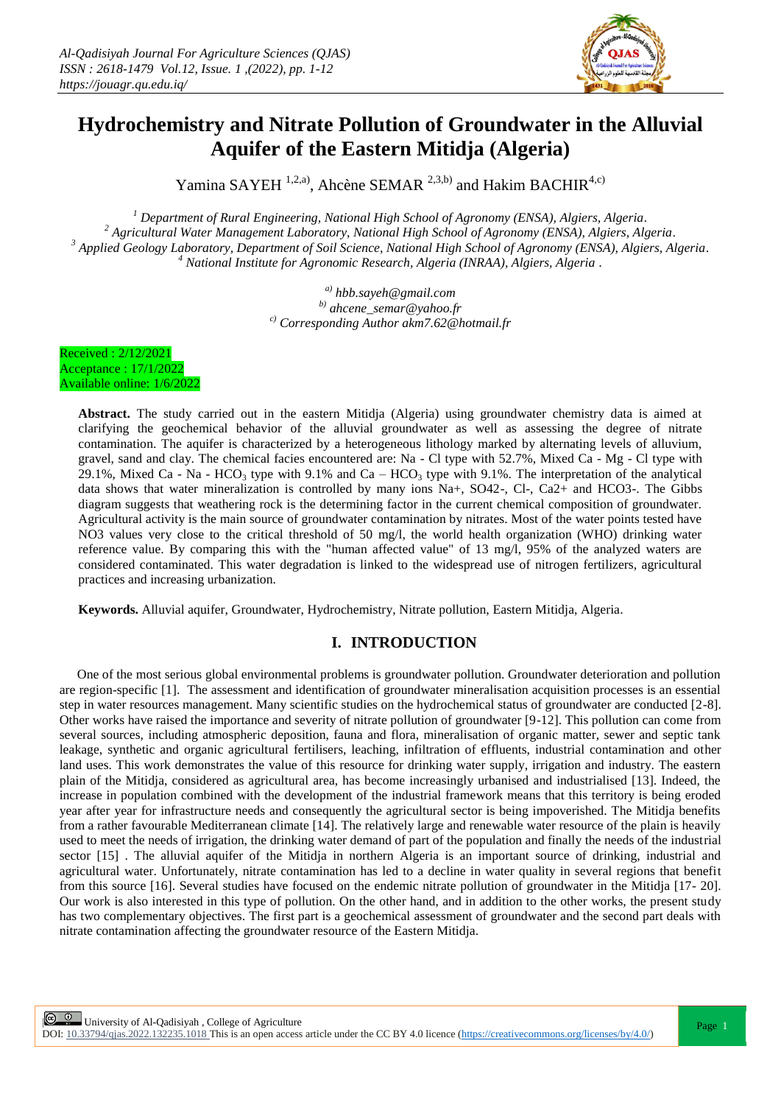

# **Hydrochemistry and Nitrate Pollution of Groundwater in the Alluvial Aquifer of the Eastern Mitidja (Algeria)**

Yamina SAYEH<sup>1,2,a)</sup>, Ahcène SEMAR<sup>2,3,b)</sup> and Hakim BACHIR<sup>4,c)</sup>

 *Department of Rural Engineering, National High School of Agronomy (ENSA), Algiers, Algeria. Agricultural Water Management Laboratory, National High School of Agronomy (ENSA), Algiers, Algeria. Applied Geology Laboratory, Department of Soil Science, National High School of Agronomy (ENSA), Algiers, Algeria. National Institute for Agronomic Research, Algeria (INRAA), Algiers, Algeria .* 

> *a) hbb.sayeh@gmail.com b) ahcene\_semar@yahoo.fr c) Corresponding Author akm7.62@hotmail.fr*

Received : 2/12/2021 Acceptance : 17/1/2022 Available online: 1/6/2022

> **Abstract.** The study carried out in the eastern Mitidja (Algeria) using groundwater chemistry data is aimed at clarifying the geochemical behavior of the alluvial groundwater as well as assessing the degree of nitrate contamination. The aquifer is characterized by a heterogeneous lithology marked by alternating levels of alluvium, gravel, sand and clay. The chemical facies encountered are: Na - Cl type with 52.7%, Mixed Ca - Mg - Cl type with 29.1%, Mixed Ca - Na - HCO<sub>3</sub> type with 9.1% and Ca – HCO<sub>3</sub> type with 9.1%. The interpretation of the analytical data shows that water mineralization is controlled by many ions Na+, SO42-, Cl-, Ca2+ and HCO3-. The Gibbs diagram suggests that weathering rock is the determining factor in the current chemical composition of groundwater. Agricultural activity is the main source of groundwater contamination by nitrates. Most of the water points tested have NO3 values very close to the critical threshold of 50 mg/l, the world health organization (WHO) drinking water reference value. By comparing this with the "human affected value" of 13 mg/l, 95% of the analyzed waters are considered contaminated. This water degradation is linked to the widespread use of nitrogen fertilizers, agricultural practices and increasing urbanization.

**Keywords.** Alluvial aquifer, Groundwater, Hydrochemistry, Nitrate pollution, Eastern Mitidja, Algeria.

# **I. INTRODUCTION**

One of the most serious global environmental problems is groundwater pollution. Groundwater deterioration and pollution are region-specific [1]. The assessment and identification of groundwater mineralisation acquisition processes is an essential step in water resources management. Many scientific studies on the hydrochemical status of groundwater are conducted [2-8]. Other works have raised the importance and severity of nitrate pollution of groundwater [9-12]. This pollution can come from several sources, including atmospheric deposition, fauna and flora, mineralisation of organic matter, sewer and septic tank leakage, synthetic and organic agricultural fertilisers, leaching, infiltration of effluents, industrial contamination and other land uses. This work demonstrates the value of this resource for drinking water supply, irrigation and industry. The eastern plain of the Mitidja, considered as agricultural area, has become increasingly urbanised and industrialised [13]. Indeed, the increase in population combined with the development of the industrial framework means that this territory is being eroded year after year for infrastructure needs and consequently the agricultural sector is being impoverished. The Mitidja benefits from a rather favourable Mediterranean climate [14]. The relatively large and renewable water resource of the plain is heavily used to meet the needs of irrigation, the drinking water demand of part of the population and finally the needs of the industrial sector [15] . The alluvial aquifer of the Mitidja in northern Algeria is an important source of drinking, industrial and agricultural water. Unfortunately, nitrate contamination has led to a decline in water quality in several regions that benefit from this source [16]. Several studies have focused on the endemic nitrate pollution of groundwater in the Mitidja [17- 20]. Our work is also interested in this type of pollution. On the other hand, and in addition to the other works, the present study has two complementary objectives. The first part is a geochemical assessment of groundwater and the second part deals with nitrate contamination affecting the groundwater resource of the Eastern Mitidja.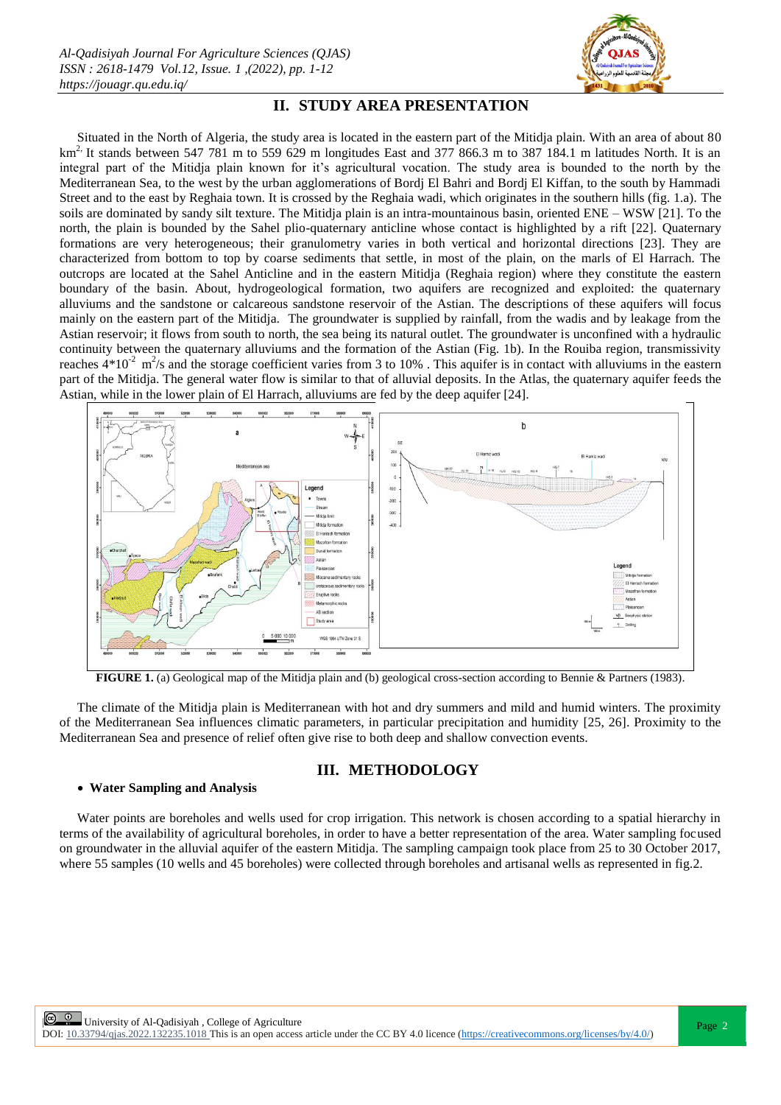

# **II. STUDY AREA PRESENTATION**

Situated in the North of Algeria, the study area is located in the eastern part of the Mitidja plain. With an area of about 80  $km<sup>2</sup>$ . It stands between 547 781 m to 559 629 m longitudes East and 377 866.3 m to 387 184.1 m latitudes North. It is an integral part of the Mitidja plain known for it's agricultural vocation. The study area is bounded to the north by the Mediterranean Sea, to the west by the urban agglomerations of Bordj El Bahri and Bordj El Kiffan, to the south by Hammadi Street and to the east by Reghaia town. It is crossed by the Reghaia wadi, which originates in the southern hills (fig. 1.a). The soils are dominated by sandy silt texture. The Mitidja plain is an intra-mountainous basin, oriented ENE – WSW [21]. To the north, the plain is bounded by the Sahel plio-quaternary anticline whose contact is highlighted by a rift [22]. Quaternary formations are very heterogeneous; their granulometry varies in both vertical and horizontal directions [23]. They are characterized from bottom to top by coarse sediments that settle, in most of the plain, on the marls of El Harrach. The outcrops are located at the Sahel Anticline and in the eastern Mitidja (Reghaia region) where they constitute the eastern boundary of the basin. About, hydrogeological formation, two aquifers are recognized and exploited: the quaternary alluviums and the sandstone or calcareous sandstone reservoir of the Astian. The descriptions of these aquifers will focus mainly on the eastern part of the Mitidja. The groundwater is supplied by rainfall, from the wadis and by leakage from the Astian reservoir; it flows from south to north, the sea being its natural outlet. The groundwater is unconfined with a hydraulic continuity between the quaternary alluviums and the formation of the Astian (Fig. 1b). In the Rouiba region, transmissivity reaches  $4*10^{-2}$  m<sup>2</sup>/s and the storage coefficient varies from 3 to 10%. This aquifer is in contact with alluviums in the eastern part of the Mitidja. The general water flow is similar to that of alluvial deposits. In the Atlas, the quaternary aquifer feeds the Astian, while in the lower plain of El Harrach, alluviums are fed by the deep aquifer [24].



**FIGURE 1.** (a) Geological map of the Mitidia plain and (b) geological cross-section according to Bennie & Partners (1983).

The climate of the Mitidja plain is Mediterranean with hot and dry summers and mild and humid winters. The proximity of the Mediterranean Sea influences climatic parameters, in particular precipitation and humidity [25, 26]. Proximity to the Mediterranean Sea and presence of relief often give rise to both deep and shallow convection events.

# **III. METHODOLOGY**

### **Water Sampling and Analysis**

Water points are boreholes and wells used for crop irrigation. This network is chosen according to a spatial hierarchy in terms of the availability of agricultural boreholes, in order to have a better representation of the area. Water sampling focused on groundwater in the alluvial aquifer of the eastern Mitidja. The sampling campaign took place from 25 to 30 October 2017, where 55 samples (10 wells and 45 boreholes) were collected through boreholes and artisanal wells as represented in fig.2.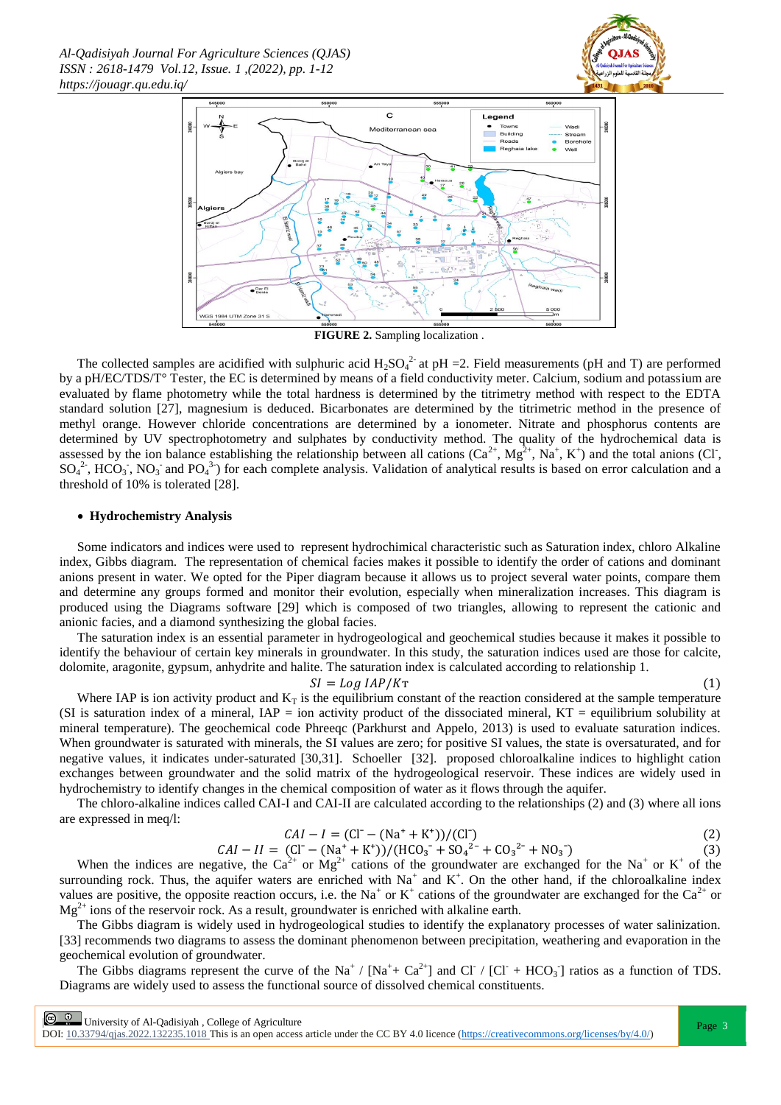



**FIGURE 2.** Sampling localization .

The collected samples are acidified with sulphuric acid  $H_2SO_4^2$  at pH = 2. Field measurements (pH and T) are performed by a pH/EC/TDS/T° Tester, the EC is determined by means of a field conductivity meter. Calcium, sodium and potassium are evaluated by flame photometry while the total hardness is determined by the titrimetry method with respect to the EDTA standard solution [27], magnesium is deduced. Bicarbonates are determined by the titrimetric method in the presence of methyl orange. However chloride concentrations are determined by a ionometer. Nitrate and phosphorus contents are determined by UV spectrophotometry and sulphates by conductivity method. The quality of the hydrochemical data is assessed by the ion balance establishing the relationship between all cations  $(Ca^{2+}, Mg^{2+}, Na^+, K^+)$  and the total anions (CI,  $SO_4^2$ , HCO<sub>3</sub>, NO<sub>3</sub> and PO<sub>4</sub><sup>3</sup>) for each complete analysis. Validation of analytical results is based on error calculation and a threshold of 10% is tolerated [28].

### **Hydrochemistry Analysis**

Some indicators and indices were used to represent hydrochimical characteristic such as Saturation index, chloro Alkaline index, Gibbs diagram. The representation of chemical facies makes it possible to identify the order of cations and dominant anions present in water. We opted for the Piper diagram because it allows us to project several water points, compare them and determine any groups formed and monitor their evolution, especially when mineralization increases. This diagram is produced using the Diagrams software [29] which is composed of two triangles, allowing to represent the cationic and anionic facies, and a diamond synthesizing the global facies.

The saturation index is an essential parameter in hydrogeological and geochemical studies because it makes it possible to identify the behaviour of certain key minerals in groundwater. In this study, the saturation indices used are those for calcite, dolomite, aragonite, gypsum, anhydrite and halite. The saturation index is calculated according to relationship 1.

#### $SI = Log IAP/K$ T

 $(1)$ 

Where IAP is ion activity product and  $K_T$  is the equilibrium constant of the reaction considered at the sample temperature (SI is saturation index of a mineral,  $IAP =$  ion activity product of the dissociated mineral,  $KT =$  equilibrium solubility at mineral temperature). The geochemical code Phreeqc (Parkhurst and Appelo, 2013) is used to evaluate saturation indices. When groundwater is saturated with minerals, the SI values are zero; for positive SI values, the state is oversaturated, and for negative values, it indicates under-saturated [30,31]. Schoeller [32]. proposed chloroalkaline indices to highlight cation exchanges between groundwater and the solid matrix of the hydrogeological reservoir. These indices are widely used in hydrochemistry to identify changes in the chemical composition of water as it flows through the aquifer.

The chloro-alkaline indices called CAI-I and CAI-II are calculated according to the relationships (2) and (3) where all ions are expressed in meq/l:

$$
CAI - I = (CI - (Na^{+} + K^{+}))/(CI)
$$
\n(2)

 $CAI - II = (CI - (Na<sup>+</sup> + K<sup>+</sup>))/(HCO<sub>3</sub><sup>-</sup> + SO<sub>4</sub><sup>2-</sup> + CO<sub>3</sub><sup>2-</sup> + NO<sub>3</sub><sup>-</sup>)$  $(3)$ 

When the indices are negative, the Ca<sup>2+</sup> or Mg<sup>2+</sup> cations of the groundwater are exchanged for the Na<sup>+</sup> or K<sup>+</sup> of the surrounding rock. Thus, the aquifer waters are enriched with  $Na^+$  and  $K^+$ . On the other hand, if the chloroalkaline index values are positive, the opposite reaction occurs, i.e. the Na<sup>+</sup> or K<sup>+</sup> cations of the groundwater are exchanged for the Ca<sup>2+</sup> or  $Mg^{2+}$  ions of the reservoir rock. As a result, groundwater is enriched with alkaline earth.

The Gibbs diagram is widely used in hydrogeological studies to identify the explanatory processes of water salinization. [33] recommends two diagrams to assess the dominant phenomenon between precipitation, weathering and evaporation in the geochemical evolution of groundwater.

The Gibbs diagrams represent the curve of the Na<sup>+</sup> / [Na<sup>+</sup>+ Ca<sup>2+</sup>] and Cl<sup>-</sup> / [Cl<sup>-</sup> + HCO<sub>3</sub><sup>-</sup>] ratios as a function of TDS. Diagrams are widely used to assess the functional source of dissolved chemical constituents.

**E 0** University of Al-Qadisiyah, College of Agriculture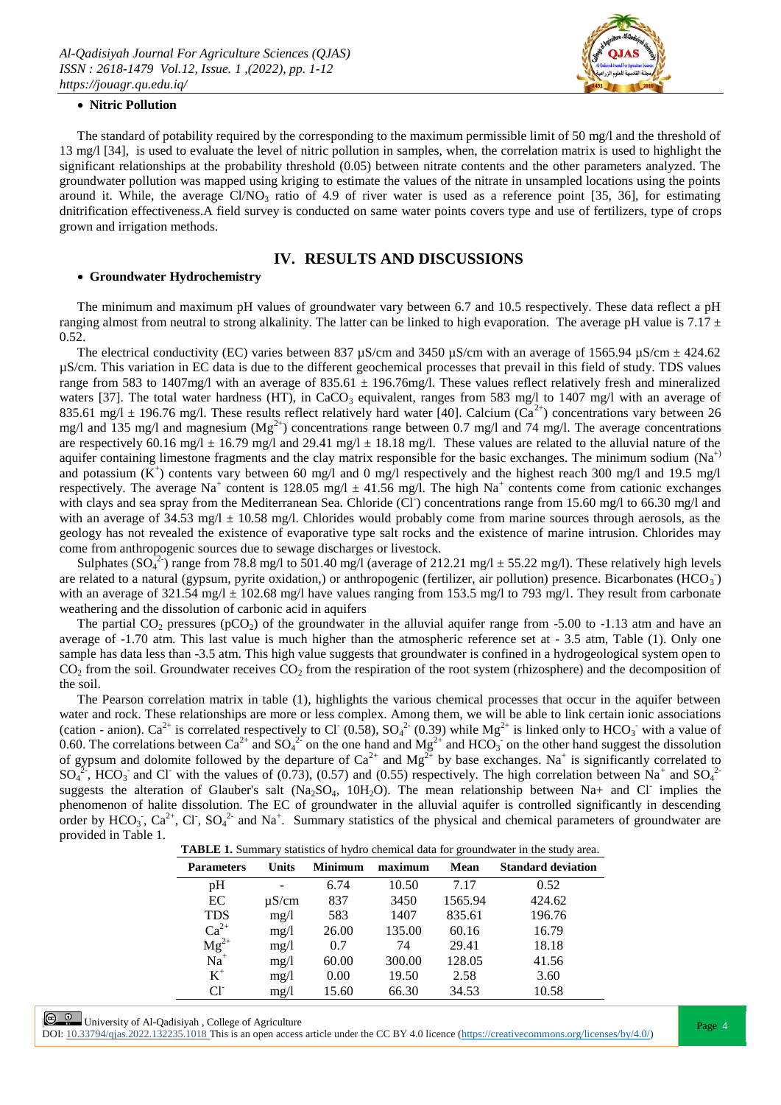

### **Nitric Pollution**

The standard of potability required by the corresponding to the maximum permissible limit of 50 mg/l and the threshold of 13 mg/l [34], is used to evaluate the level of nitric pollution in samples, when, the correlation matrix is used to highlight the significant relationships at the probability threshold (0.05) between nitrate contents and the other parameters analyzed. The groundwater pollution was mapped using kriging to estimate the values of the nitrate in unsampled locations using the points around it. While, the average  $Cl/NO_3$  ratio of 4.9 of river water is used as a reference point [35, 36], for estimating dnitrification effectiveness.A field survey is conducted on same water points covers type and use of fertilizers, type of crops grown and irrigation methods.

## **IV. RESULTS AND DISCUSSIONS**

#### **Groundwater Hydrochemistry**

The minimum and maximum pH values of groundwater vary between 6.7 and 10.5 respectively. These data reflect a pH ranging almost from neutral to strong alkalinity. The latter can be linked to high evaporation. The average pH value is  $7.17 \pm$ 0.52.

The electrical conductivity (EC) varies between 837  $\mu$ S/cm and 3450  $\mu$ S/cm with an average of 1565.94  $\mu$ S/cm  $\pm$  424.62 µS/cm. This variation in EC data is due to the different geochemical processes that prevail in this field of study. TDS values range from 583 to 1407mg/l with an average of 835.61  $\pm$  196.76mg/l. These values reflect relatively fresh and mineralized waters [37]. The total water hardness (HT), in CaCO<sub>3</sub> equivalent, ranges from 583 mg/l to 1407 mg/l with an average of 835.61 mg/l  $\pm$  196.76 mg/l. These results reflect relatively hard water [40]. Calcium (Ca<sup>2+</sup>) concentrations vary between 26 mg/l and 135 mg/l and magnesium  $(Mg^{2+})$  concentrations range between 0.7 mg/l and 74 mg/l. The average concentrations are respectively 60.16 mg/l  $\pm$  16.79 mg/l and 29.41 mg/l  $\pm$  18.18 mg/l. These values are related to the alluvial nature of the aquifer containing limestone fragments and the clay matrix responsible for the basic exchanges. The minimum sodium ( $Na<sup>+</sup>$ ) and potassium  $(K^+)$  contents vary between 60 mg/l and 0 mg/l respectively and the highest reach 300 mg/l and 19.5 mg/l respectively. The average Na<sup>+</sup> content is 128.05 mg/l  $\pm$  41.56 mg/l. The high Na<sup>+</sup> contents come from cationic exchanges with clays and sea spray from the Mediterranean Sea. Chloride (CI) concentrations range from 15.60 mg/l to 66.30 mg/l and with an average of 34.53 mg/l  $\pm$  10.58 mg/l. Chlorides would probably come from marine sources through aerosols, as the geology has not revealed the existence of evaporative type salt rocks and the existence of marine intrusion. Chlorides may come from anthropogenic sources due to sewage discharges or livestock.

Sulphates  $(SO<sub>4</sub><sup>2</sup>)$  range from 78.8 mg/l to 501.40 mg/l (average of 212.21 mg/l  $\pm$  55.22 mg/l). These relatively high levels are related to a natural (gypsum, pyrite oxidation,) or anthropogenic (fertilizer, air pollution) presence. Bicarbonates (HCO<sub>3</sub>) with an average of 321.54 mg/l  $\pm$  102.68 mg/l have values ranging from 153.5 mg/l to 793 mg/l. They result from carbonate weathering and the dissolution of carbonic acid in aquifers

The partial  $CO_2$  pressures (pCO<sub>2</sub>) of the groundwater in the alluvial aquifer range from -5.00 to -1.13 atm and have an average of -1.70 atm. This last value is much higher than the atmospheric reference set at - 3.5 atm, Table (1). Only one sample has data less than -3.5 atm. This high value suggests that groundwater is confined in a hydrogeological system open to  $CO<sub>2</sub>$  from the soil. Groundwater receives  $CO<sub>2</sub>$  from the respiration of the root system (rhizosphere) and the decomposition of the soil.

The Pearson correlation matrix in table (1), highlights the various chemical processes that occur in the aquifer between water and rock. These relationships are more or less complex. Among them, we will be able to link certain ionic associations (cation - anion). Ca<sup>2+</sup> is correlated respectively to Cl<sup>-</sup> (0.58), SO<sub>4</sub><sup>2-</sup> (0.39) while Mg<sup>2+</sup> is linked only to HCO<sub>3</sub> with a value of 0.60. The correlations between Ca<sup>2+</sup> and SO<sub>4</sub><sup>2-</sup> on the one hand and Mg<sup>2+</sup> and HCO<sub>3</sub><sup>-</sup> on the other hand suggest the dissolution of gypsum and dolomite followed by the departure of  $Ca^{2+}$  and  $Mg^{2+}$  by base exchanges. Na<sup>+</sup> is significantly correlated to  $SO_4^{22}$ , HCO<sub>3</sub> and Cl<sup>-</sup> with the values of (0.73), (0.57) and (0.55) respectively. The high correlation between Na<sup>+</sup> and SO<sub>4</sub><sup>2</sup> suggests the alteration of Glauber's salt (Na<sub>2</sub>SO<sub>4</sub>, 10H<sub>2</sub>O). The mean relationship between Na+ and Cl<sup>-</sup> implies the phenomenon of halite dissolution. The EC of groundwater in the alluvial aquifer is controlled significantly in descending order by  $HCO_3$ ,  $Ca^{2+}$ , Cl,  $SO_4^{2-}$  and Na<sup>+</sup>. Summary statistics of the physical and chemical parameters of groundwater are provided in Table 1.

|  | <b>TABLE 1.</b> Summary statistics of hydro chemical data for groundwater in the study area. |  |
|--|----------------------------------------------------------------------------------------------|--|
|  |                                                                                              |  |

| <b>Parameters</b> | <b>Units</b> | <b>Minimum</b> | maximum | Mean    | <b>Standard deviation</b> |
|-------------------|--------------|----------------|---------|---------|---------------------------|
| pH                |              | 6.74           | 10.50   | 7.17    | 0.52                      |
| EC                | $\mu$ S/cm   | 837            | 3450    | 1565.94 | 424.62                    |
| <b>TDS</b>        | mg/1         | 583            | 1407    | 835.61  | 196.76                    |
| $Ca^{2+}$         | mg/l         | 26.00          | 135.00  | 60.16   | 16.79                     |
| $Mg^{2+}$         | mg/l         | 0.7            | 74      | 29.41   | 18.18                     |
| $Na+$             | mg/l         | 60.00          | 300.00  | 128.05  | 41.56                     |
| $K^+$             | mg/l         | 0.00           | 19.50   | 2.58    | 3.60                      |
| $Cl^{\dagger}$    | mg/1         | 15.60          | 66.30   | 34.53   | 10.58                     |

 $\begin{array}{|c|c|c|c|c|c|}\n\hline \textcircled{9} & \textup{University of Al-Qadisiyah, College of Agriculture}\\ \hline \end{array}$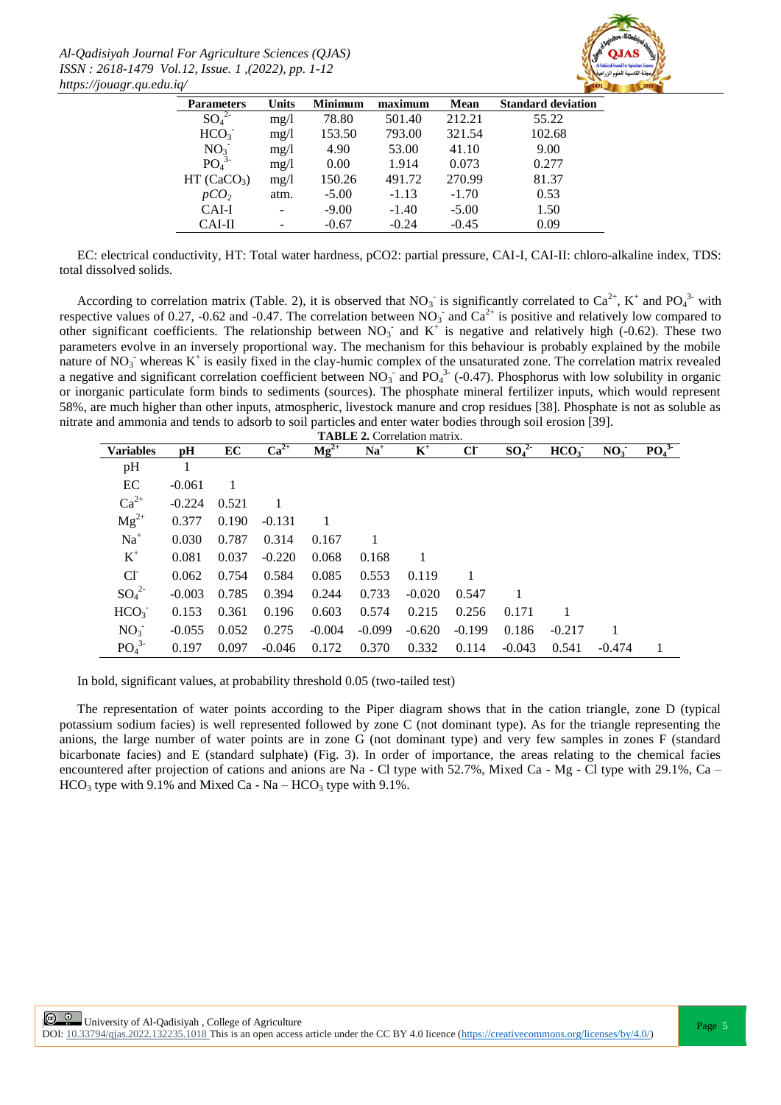*Al-Qadisiyah Journal For Agriculture Sciences (QJAS) ISSN : 2618-1479 Vol.12, Issue. 1 ,(2022), pp. 1-12 https://jouagr.qu.edu.iq/*



| <b>Parameters</b>            | <b>Units</b> | <b>Minimum</b> | maximum | Mean    | <b>Standard deviation</b> |
|------------------------------|--------------|----------------|---------|---------|---------------------------|
| SO <sub>4</sub> <sup>2</sup> | mg/1         | 78.80          | 501.40  | 212.21  | 55.22                     |
| HCO <sub>3</sub>             | mg/l         | 153.50         | 793.00  | 321.54  | 102.68                    |
| NO <sub>3</sub>              | mg/1         | 4.90           | 53.00   | 41.10   | 9.00                      |
| PO <sub>4</sub> <sup>3</sup> | mg/l         | 0.00           | 1.914   | 0.073   | 0.277                     |
| HT (CaCO <sub>3</sub> )      | mg/l         | 150.26         | 491.72  | 270.99  | 81.37                     |
| pCO <sub>2</sub>             | atm.         | $-5.00$        | $-1.13$ | $-1.70$ | 0.53                      |
| CAI-I                        |              | $-9.00$        | $-1.40$ | $-5.00$ | 1.50                      |
| CAI-II                       |              | $-0.67$        | $-0.24$ | $-0.45$ | 0.09                      |

EC: electrical conductivity, HT: Total water hardness, pCO2: partial pressure, CAI-I, CAI-II: chloro-alkaline index, TDS: total dissolved solids.

According to correlation matrix (Table. 2), it is observed that  $NO_3$  is significantly correlated to  $Ca^{2+}$ ,  $K^+$  and  $PO_4^{3-}$  with respective values of 0.27, -0.62 and -0.47. The correlation between  $NO_3^-$  and  $Ca^{2+}$  is positive and relatively low compared to other significant coefficients. The relationship between  $NO_3^-$  and  $K^+$  is negative and relatively high (-0.62). These two parameters evolve in an inversely proportional way. The mechanism for this behaviour is probably explained by the mobile nature of  $NO_3$  whereas  $K^+$  is easily fixed in the clay-humic complex of the unsaturated zone. The correlation matrix revealed a negative and significant correlation coefficient between  $NO_3^-$  and  $PO_4^3$  (-0.47). Phosphorus with low solubility in organic or inorganic particulate form binds to sediments (sources). The phosphate mineral fertilizer inputs, which would represent 58%, are much higher than other inputs, atmospheric, livestock manure and crop residues [38]. Phosphate is not as soluble as nitrate and ammonia and tends to adsorb to soil particles and enter water bodies through soil erosion [39].

| <b>TABLE 2. Correlation matrix.</b> |          |       |           |           |          |          |          |          |                  |                 |                              |
|-------------------------------------|----------|-------|-----------|-----------|----------|----------|----------|----------|------------------|-----------------|------------------------------|
| <b>Variables</b>                    | рH       | EC    | $Ca^{2+}$ | $Mg^{2+}$ | $Na+$    | $K^+$    | CI       | $SO_4^2$ | HCO <sub>3</sub> | NO <sub>3</sub> | PO <sub>4</sub> <sup>3</sup> |
| pH                                  |          |       |           |           |          |          |          |          |                  |                 |                              |
| EC                                  | $-0.061$ |       |           |           |          |          |          |          |                  |                 |                              |
| $Ca^{2+}$                           | $-0.224$ | 0.521 |           |           |          |          |          |          |                  |                 |                              |
| $Mg^{2+}$                           | 0.377    | 0.190 | $-0.131$  |           |          |          |          |          |                  |                 |                              |
| $Na+$                               | 0.030    | 0.787 | 0.314     | 0.167     |          |          |          |          |                  |                 |                              |
| $K^+$                               | 0.081    | 0.037 | $-0.220$  | 0.068     | 0.168    |          |          |          |                  |                 |                              |
| $Cl^{\dagger}$                      | 0.062    | 0.754 | 0.584     | 0.085     | 0.553    | 0.119    |          |          |                  |                 |                              |
| $SO_4^2$                            | $-0.003$ | 0.785 | 0.394     | 0.244     | 0.733    | $-0.020$ | 0.547    |          |                  |                 |                              |
| HCO <sub>3</sub>                    | 0.153    | 0.361 | 0.196     | 0.603     | 0.574    | 0.215    | 0.256    | 0.171    | 1                |                 |                              |
| NO <sub>3</sub>                     | $-0.055$ | 0.052 | 0.275     | $-0.004$  | $-0.099$ | $-0.620$ | $-0.199$ | 0.186    | $-0.217$         |                 |                              |
| PO <sub>4</sub> <sup>3</sup>        | 0.197    | 0.097 | $-0.046$  | 0.172     | 0.370    | 0.332    | 0.114    | $-0.043$ | 0.541            | $-0.474$        |                              |

In bold, significant values, at probability threshold 0.05 (two-tailed test)

The representation of water points according to the Piper diagram shows that in the cation triangle, zone D (typical potassium sodium facies) is well represented followed by zone C (not dominant type). As for the triangle representing the anions, the large number of water points are in zone G (not dominant type) and very few samples in zones F (standard bicarbonate facies) and E (standard sulphate) (Fig. 3). In order of importance, the areas relating to the chemical facies encountered after projection of cations and anions are Na - Cl type with 52.7%, Mixed Ca - Mg - Cl type with 29.1%, Ca –  $HCO<sub>3</sub>$  type with 9.1% and Mixed Ca - Na –  $HCO<sub>3</sub>$  type with 9.1%.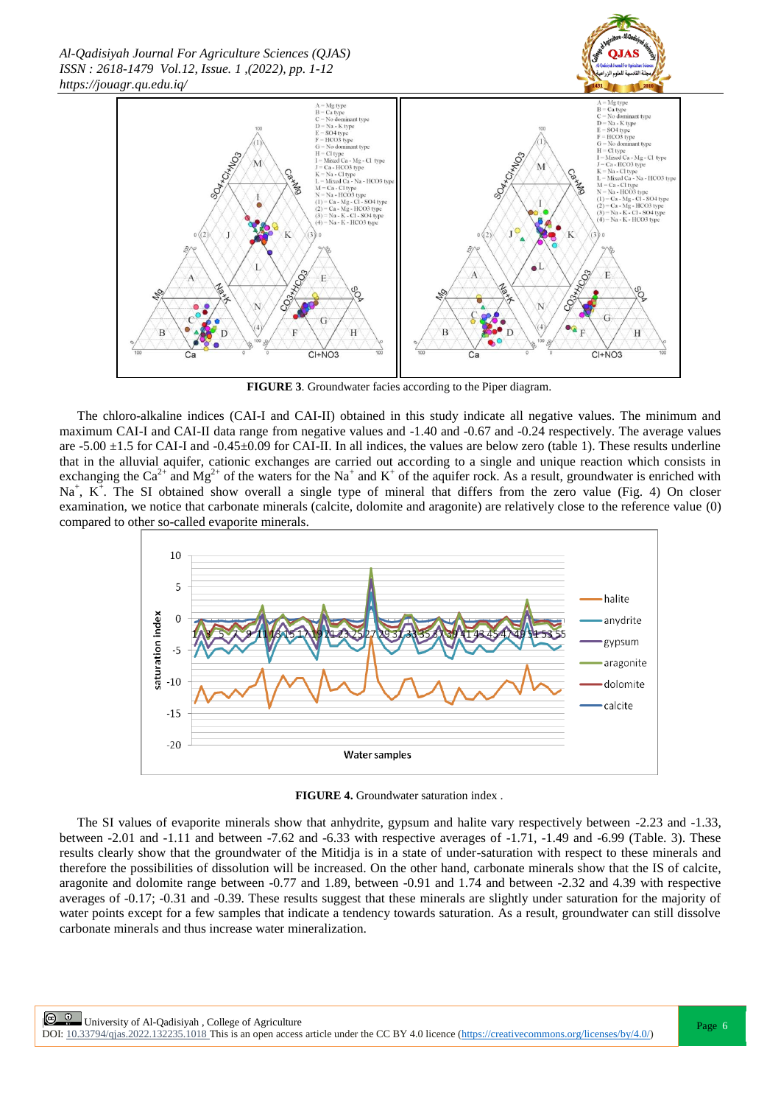

**FIGURE 3**. Groundwater facies according to the Piper diagram.

The chloro-alkaline indices (CAI-I and CAI-II) obtained in this study indicate all negative values. The minimum and maximum CAI-I and CAI-II data range from negative values and -1.40 and -0.67 and -0.24 respectively. The average values are  $-5.00 \pm 1.5$  for CAI-I and  $-0.45 \pm 0.09$  for CAI-II. In all indices, the values are below zero (table 1). These results underline that in the alluvial aquifer, cationic exchanges are carried out according to a single and unique reaction which consists in exchanging the Ca<sup>2+</sup> and Mg<sup>2+</sup> of the waters for the Na<sup>+</sup> and K<sup>+</sup> of the aquifer rock. As a result, groundwater is enriched with  $Na<sup>+</sup>$ ,  $K<sup>+</sup>$ . The SI obtained show overall a single type of mineral that differs from the zero value (Fig. 4) On closer examination, we notice that carbonate minerals (calcite, dolomite and aragonite) are relatively close to the reference value (0) compared to other so-called evaporite minerals.



**FIGURE 4.** Groundwater saturation index .

The SI values of evaporite minerals show that anhydrite, gypsum and halite vary respectively between -2.23 and -1.33, between -2.01 and -1.11 and between -7.62 and -6.33 with respective averages of -1.71, -1.49 and -6.99 (Table. 3). These results clearly show that the groundwater of the Mitidja is in a state of under-saturation with respect to these minerals and therefore the possibilities of dissolution will be increased. On the other hand, carbonate minerals show that the IS of calcite, aragonite and dolomite range between -0.77 and 1.89, between -0.91 and 1.74 and between -2.32 and 4.39 with respective averages of -0.17; -0.31 and -0.39. These results suggest that these minerals are slightly under saturation for the majority of water points except for a few samples that indicate a tendency towards saturation. As a result, groundwater can still dissolve carbonate minerals and thus increase water mineralization.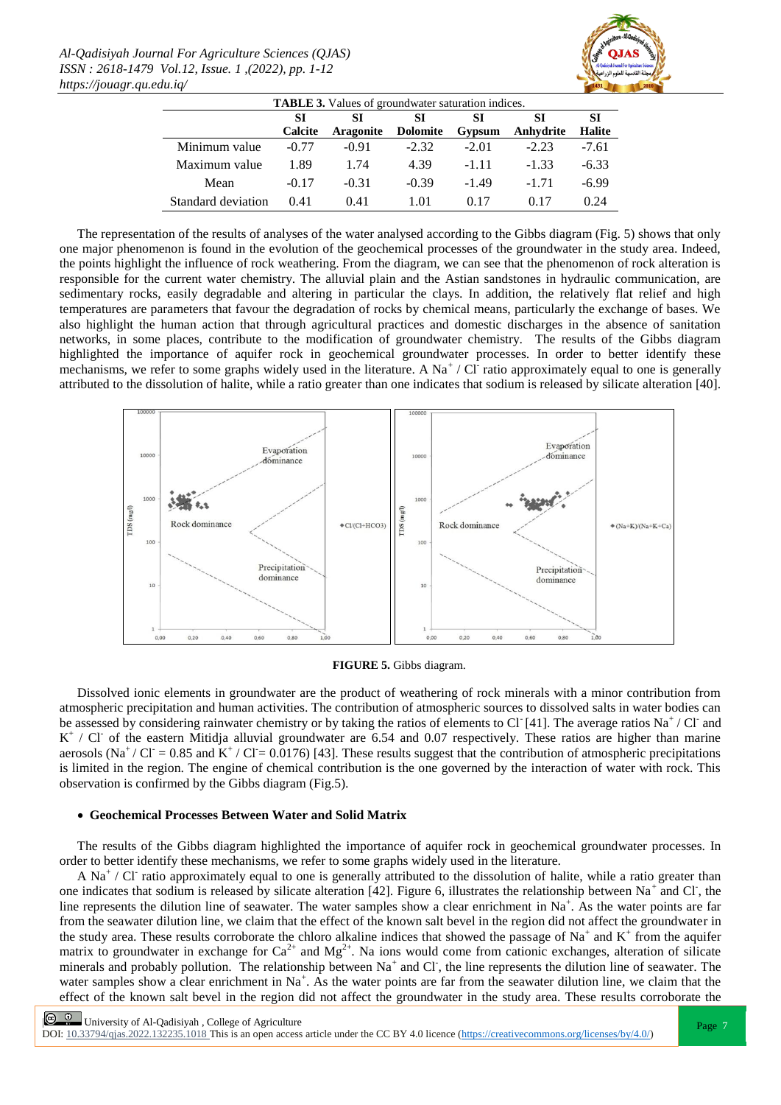

| <b>TABLE 3.</b> Values of groundwater saturation indices. |          |                  |                 |         |           |               |  |  |  |
|-----------------------------------------------------------|----------|------------------|-----------------|---------|-----------|---------------|--|--|--|
|                                                           | SТ<br>SI |                  | SI<br>SI        |         | SІ        | SІ            |  |  |  |
|                                                           | Calcite  | <b>Aragonite</b> | <b>Dolomite</b> | Gypsum  | Anhydrite | <b>Halite</b> |  |  |  |
| Minimum value                                             | $-0.77$  | $-0.91$          | $-2.32$         | $-2.01$ | $-2.23$   | $-7.61$       |  |  |  |
| Maximum value                                             | 1.89     | 1.74             | 4.39            | $-1.11$ | $-1.33$   | $-6.33$       |  |  |  |
| Mean                                                      | $-0.17$  | $-0.31$          | $-0.39$         | $-1.49$ | $-1, 71$  | $-6.99$       |  |  |  |
| Standard deviation                                        | 0.41     | 0.41             | 1.01            | 017     | 017       | 0.24          |  |  |  |

The representation of the results of analyses of the water analysed according to the Gibbs diagram (Fig. 5) shows that only one major phenomenon is found in the evolution of the geochemical processes of the groundwater in the study area. Indeed, the points highlight the influence of rock weathering. From the diagram, we can see that the phenomenon of rock alteration is responsible for the current water chemistry. The alluvial plain and the Astian sandstones in hydraulic communication, are sedimentary rocks, easily degradable and altering in particular the clays. In addition, the relatively flat relief and high temperatures are parameters that favour the degradation of rocks by chemical means, particularly the exchange of bases. We also highlight the human action that through agricultural practices and domestic discharges in the absence of sanitation networks, in some places, contribute to the modification of groundwater chemistry. The results of the Gibbs diagram highlighted the importance of aquifer rock in geochemical groundwater processes. In order to better identify these mechanisms, we refer to some graphs widely used in the literature. A  $\text{Na}^+$  / Cl ratio approximately equal to one is generally attributed to the dissolution of halite, while a ratio greater than one indicates that sodium is released by silicate alteration [40].



**FIGURE 5.** Gibbs diagram.

Dissolved ionic elements in groundwater are the product of weathering of rock minerals with a minor contribution from atmospheric precipitation and human activities. The contribution of atmospheric sources to dissolved salts in water bodies can be assessed by considering rainwater chemistry or by taking the ratios of elements to Cl [41]. The average ratios Na<sup>+</sup>/Cl and K<sup>+</sup> / Cl<sup>-</sup> of the eastern Mitidja alluvial groundwater are 6.54 and 0.07 respectively. These ratios are higher than marine aerosols (Na<sup>+</sup>/Cl<sup>-</sup> = 0.85 and K<sup>+</sup>/Cl<sup>-</sup> = 0.0176) [43]. These results suggest that the contribution of atmospheric precipitations is limited in the region. The engine of chemical contribution is the one governed by the interaction of water with rock. This observation is confirmed by the Gibbs diagram (Fig.5).

### **Geochemical Processes Between Water and Solid Matrix**

The results of the Gibbs diagram highlighted the importance of aquifer rock in geochemical groundwater processes. In order to better identify these mechanisms, we refer to some graphs widely used in the literature.

A Na<sup>+</sup> / Cl<sup>-</sup> ratio approximately equal to one is generally attributed to the dissolution of halite, while a ratio greater than one indicates that sodium is released by silicate alteration [42]. Figure 6, illustrates the relationship between Na<sup>+</sup> and Cl, the line represents the dilution line of seawater. The water samples show a clear enrichment in  $Na^+$ . As the water points are far from the seawater dilution line, we claim that the effect of the known salt bevel in the region did not affect the groundwater in the study area. These results corroborate the chloro alkaline indices that showed the passage of Na<sup>+</sup> and  $K^+$  from the aquifer matrix to groundwater in exchange for  $Ca^{2+}$  and  $Mg^{2+}$ . Na ions would come from cationic exchanges, alteration of silicate minerals and probably pollution. The relationship between  $Na<sup>+</sup>$  and Cl, the line represents the dilution line of seawater. The water samples show a clear enrichment in Na<sup>+</sup>. As the water points are far from the seawater dilution line, we claim that the effect of the known salt bevel in the region did not affect the groundwater in the study area. These results corroborate the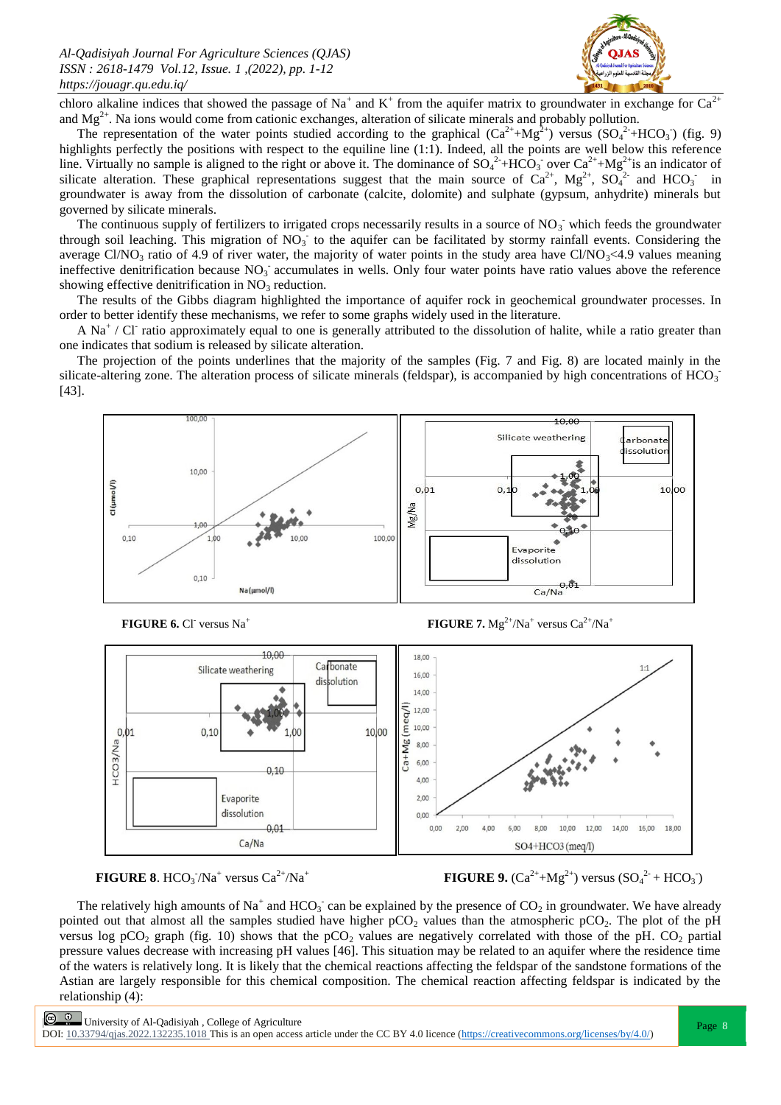

chloro alkaline indices that showed the passage of Na<sup>+</sup> and K<sup>+</sup> from the aquifer matrix to groundwater in exchange for Ca<sup>2+</sup> and  $Mg^{2+}$ . Na ions would come from cationic exchanges, alteration of silicate minerals and probably pollution.

The representation of the water points studied according to the graphical  $(Ca^{2+}+Mg^{2+})$  versus  $(SO<sub>4</sub><sup>2+</sup>+HCO<sub>3</sub>)$  (fig. 9) highlights perfectly the positions with respect to the equiline line (1:1). Indeed, all the points are well below this reference line. Virtually no sample is aligned to the right or above it. The dominance of  $SO_4^2+HCO_3$  over  $Ca^{2+}+Mg^{2+}$  is an indicator of silicate alteration. These graphical representations suggest that the main source of  $Ca^{2+}$ ,  $Mg^{2+}$ ,  $SO_4^{2-}$  and  $HCO_3^-$  in groundwater is away from the dissolution of carbonate (calcite, dolomite) and sulphate (gypsum, anhydrite) minerals but governed by silicate minerals.

The continuous supply of fertilizers to irrigated crops necessarily results in a source of  $NO_3^-$  which feeds the groundwater through soil leaching. This migration of  $NO_3^-$  to the aquifer can be facilitated by stormy rainfall events. Considering the average Cl/NO<sub>3</sub> ratio of 4.9 of river water, the majority of water points in the study area have Cl/NO<sub>3</sub><4.9 values meaning ineffective denitrification because  $NO_3^-$  accumulates in wells. Only four water points have ratio values above the reference showing effective denitrification in  $NO<sub>3</sub>$  reduction.

The results of the Gibbs diagram highlighted the importance of aquifer rock in geochemical groundwater processes. In order to better identify these mechanisms, we refer to some graphs widely used in the literature.

A Na<sup>+</sup> / Cl<sup>-</sup> ratio approximately equal to one is generally attributed to the dissolution of halite, while a ratio greater than one indicates that sodium is released by silicate alteration.

The projection of the points underlines that the majority of the samples (Fig. 7 and Fig. 8) are located mainly in the silicate-altering zone. The alteration process of silicate minerals (feldspar), is accompanied by high concentrations of HCO<sub>3</sub> [43].



**FIGURE 6.** CI versus Na<sup>+</sup>

**FIGURE 7.**  $Mg^{2+}/Na^{+}$  versus  $Ca^{2+}/Na^{+}$ 





**FIGURE 9.**  $(Ca^{2+}+Mg^{2+})$  versus  $(SO_4^{2+}+HCO_3^-)$ 

The relatively high amounts of Na<sup>+</sup> and HCO<sub>3</sub> can be explained by the presence of CO<sub>2</sub> in groundwater. We have already pointed out that almost all the samples studied have higher  $pCO<sub>2</sub>$  values than the atmospheric  $pCO<sub>2</sub>$ . The plot of the pH versus log pCO<sub>2</sub> graph (fig. 10) shows that the pCO<sub>2</sub> values are negatively correlated with those of the pH. CO<sub>2</sub> partial pressure values decrease with increasing pH values [46]. This situation may be related to an aquifer where the residence time of the waters is relatively long. It is likely that the chemical reactions affecting the feldspar of the sandstone formations of the Astian are largely responsible for this chemical composition. The chemical reaction affecting feldspar is indicated by the relationship (4):

**E University of Al-Qadisiyah**, College of Agriculture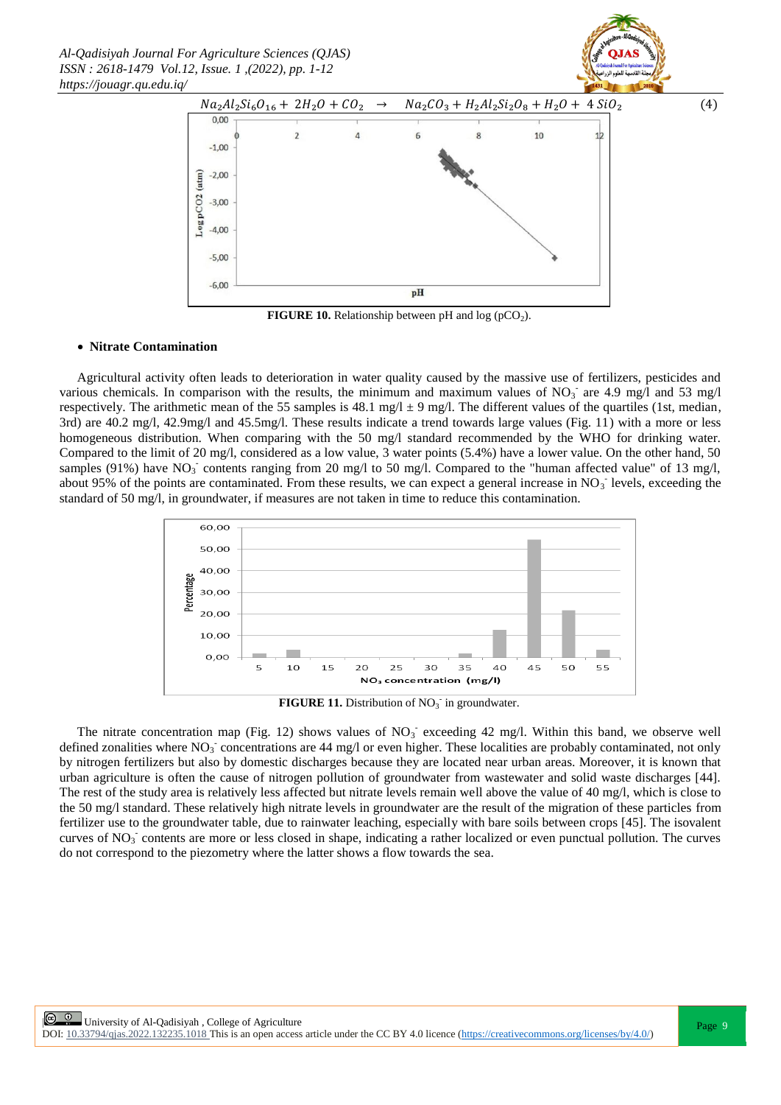*Al-Qadisiyah Journal For Agriculture Sciences (QJAS) ISSN : 2618-1479 Vol.12, Issue. 1 ,(2022), pp. 1-12 https://jouagr.qu.edu.iq/*



**FIGURE 10.** Relationship between pH and  $log (pCO<sub>2</sub>)$ .

#### **Nitrate Contamination**

Agricultural activity often leads to deterioration in water quality caused by the massive use of fertilizers, pesticides and various chemicals. In comparison with the results, the minimum and maximum values of  $NO<sub>3</sub>$  are 4.9 mg/l and 53 mg/l respectively. The arithmetic mean of the 55 samples is 48.1 mg/l  $\pm$  9 mg/l. The different values of the quartiles (1st, median, 3rd) are 40.2 mg/l, 42.9mg/l and 45.5mg/l. These results indicate a trend towards large values (Fig. 11) with a more or less homogeneous distribution. When comparing with the 50 mg/l standard recommended by the WHO for drinking water. Compared to the limit of 20 mg/l, considered as a low value, 3 water points (5.4%) have a lower value. On the other hand, 50 samples (91%) have  $NO_3^-$  contents ranging from 20 mg/l to 50 mg/l. Compared to the "human affected value" of 13 mg/l, about 95% of the points are contaminated. From these results, we can expect a general increase in  $NO<sub>3</sub>$  levels, exceeding the standard of 50 mg/l, in groundwater, if measures are not taken in time to reduce this contamination.



**FIGURE 11.** Distribution of  $NO<sub>3</sub>$  in groundwater.

The nitrate concentration map (Fig. 12) shows values of  $NO<sub>3</sub>$  exceeding 42 mg/l. Within this band, we observe well defined zonalities where  $NO_3^-$  concentrations are 44 mg/l or even higher. These localities are probably contaminated, not only by nitrogen fertilizers but also by domestic discharges because they are located near urban areas. Moreover, it is known that urban agriculture is often the cause of nitrogen pollution of groundwater from wastewater and solid waste discharges [44]. The rest of the study area is relatively less affected but nitrate levels remain well above the value of 40 mg/l, which is close to the 50 mg/l standard. These relatively high nitrate levels in groundwater are the result of the migration of these particles from fertilizer use to the groundwater table, due to rainwater leaching, especially with bare soils between crops [45]. The isovalent curves of NO<sub>3</sub> contents are more or less closed in shape, indicating a rather localized or even punctual pollution. The curves do not correspond to the piezometry where the latter shows a flow towards the sea.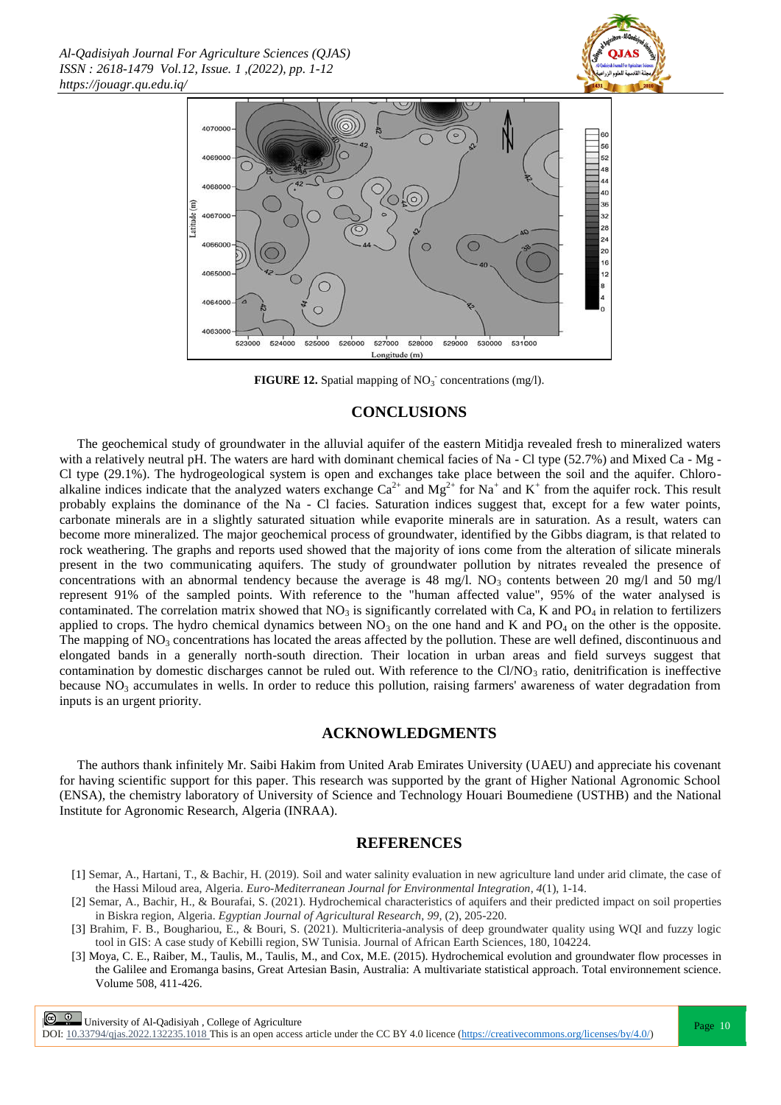



**FIGURE 12.** Spatial mapping of  $NO<sub>3</sub>$  concentrations (mg/l).

### **CONCLUSIONS**

The geochemical study of groundwater in the alluvial aquifer of the eastern Mitidja revealed fresh to mineralized waters with a relatively neutral pH. The waters are hard with dominant chemical facies of Na - Cl type (52.7%) and Mixed Ca - Mg -Cl type (29.1%). The hydrogeological system is open and exchanges take place between the soil and the aquifer. Chloroalkaline indices indicate that the analyzed waters exchange  $Ca^{2+}$  and  $Mg^{2+}$  for Na<sup>+</sup> and K<sup>+</sup> from the aquifer rock. This result probably explains the dominance of the Na - Cl facies. Saturation indices suggest that, except for a few water points, carbonate minerals are in a slightly saturated situation while evaporite minerals are in saturation. As a result, waters can become more mineralized. The major geochemical process of groundwater, identified by the Gibbs diagram, is that related to rock weathering. The graphs and reports used showed that the majority of ions come from the alteration of silicate minerals present in the two communicating aquifers. The study of groundwater pollution by nitrates revealed the presence of concentrations with an abnormal tendency because the average is 48 mg/l.  $NO_3$  contents between 20 mg/l and 50 mg/l represent 91% of the sampled points. With reference to the "human affected value", 95% of the water analysed is contaminated. The correlation matrix showed that  $NO<sub>3</sub>$  is significantly correlated with Ca, K and  $PO<sub>4</sub>$  in relation to fertilizers applied to crops. The hydro chemical dynamics between  $NO<sub>3</sub>$  on the one hand and K and  $PO<sub>4</sub>$  on the other is the opposite. The mapping of  $NO<sub>3</sub>$  concentrations has located the areas affected by the pollution. These are well defined, discontinuous and elongated bands in a generally north-south direction. Their location in urban areas and field surveys suggest that contamination by domestic discharges cannot be ruled out. With reference to the Cl/NO<sub>3</sub> ratio, denitrification is ineffective because  $NO<sub>3</sub>$  accumulates in wells. In order to reduce this pollution, raising farmers' awareness of water degradation from inputs is an urgent priority.

### **ACKNOWLEDGMENTS**

The authors thank infinitely Mr. Saibi Hakim from United Arab Emirates University (UAEU) and appreciate his covenant for having scientific support for this paper. This research was supported by the grant of Higher National Agronomic School (ENSA), the chemistry laboratory of University of Science and Technology Houari Boumediene (USTHB) and the National Institute for Agronomic Research, Algeria (INRAA).

### **REFERENCES**

- [1] Semar, A., Hartani, T., & Bachir, H. (2019). Soil and water salinity evaluation in new agriculture land under arid climate, the case of the Hassi Miloud area, Algeria. *Euro-Mediterranean Journal for Environmental Integration*, *4*(1), 1-14.
- [2] Semar, A., Bachir, H., & Bourafai, S. (2021). Hydrochemical characteristics of aquifers and their predicted impact on soil properties in Biskra region, Algeria. *Egyptian Journal of Agricultural Research*, *99,* (2), 205-220.
- [3] Brahim, F. B., Boughariou, E., & Bouri, S. (2021). Multicriteria-analysis of deep groundwater quality using WQI and fuzzy logic tool in GIS: A case study of Kebilli region, SW Tunisia. Journal of African Earth Sciences, 180, 104224.
- [3] Moya, C. E., Raiber, M., Taulis, M., Taulis, M., and Cox, M.E. (2015). Hydrochemical evolution and groundwater flow processes in the Galilee and Eromanga basins, Great Artesian Basin, Australia: A multivariate statistical approach. Total environnement science. Volume 508, 411-426.

C <sup>Q</sup> University of Al-Qadisiyah , College of Agriculture Page 10 DOI:  $10.33794/q$ jas.2022.132235.1018 This is an open access article under the CC BY 4.0 licence (https://creativecommons.org/licenses/by/4.0/)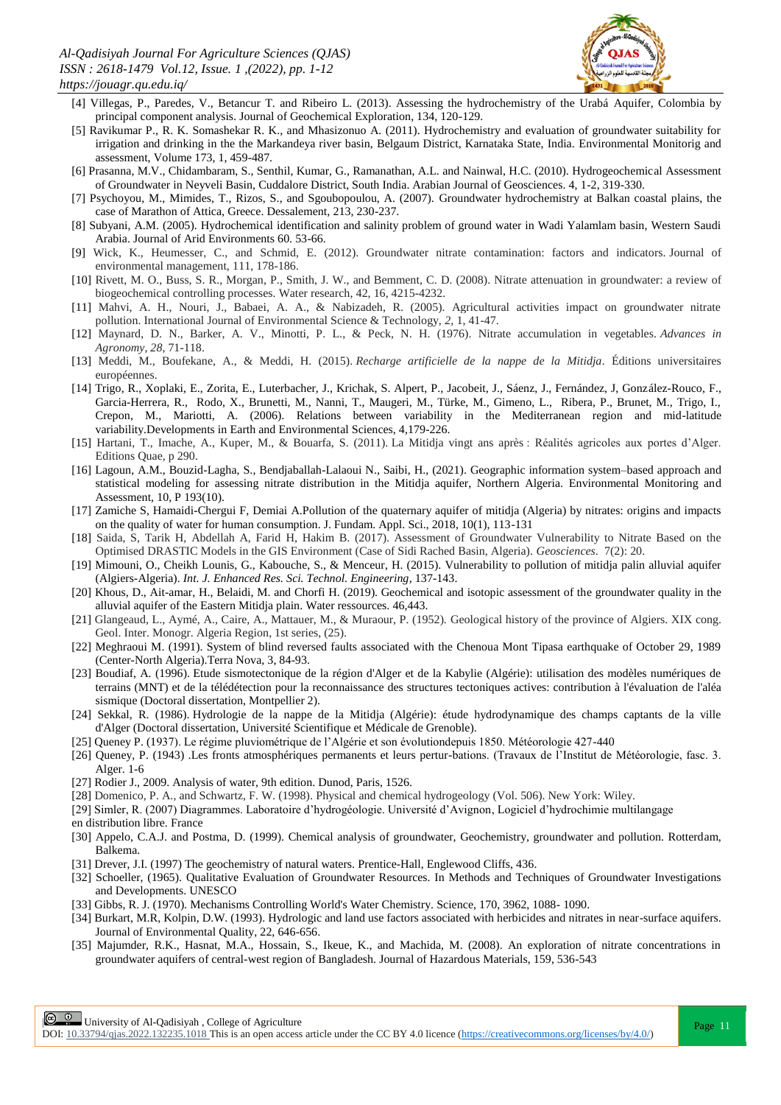

- [4] Villegas, P., Paredes, V., Betancur T. and Ribeiro L. (2013). Assessing the hydrochemistry of the Urabá Aquifer, Colombia by principal component analysis. Journal of Geochemical Exploration, 134, 120-129.
- [5] Ravikumar P., R. K. Somashekar R. K., and Mhasizonuo A. (2011). Hydrochemistry and evaluation of groundwater suitability for irrigation and drinking in the the Markandeya river basin, Belgaum District, Karnataka State, India. Environmental Monitorig and assessment, Volume 173, 1, 459-487.
- [6] Prasanna, M.V., Chidambaram, S., Senthil, Kumar, G., Ramanathan, A.L. and Nainwal, H.C. (2010). Hydrogeochemical Assessment of Groundwater in Neyveli Basin, Cuddalore District, South India. Arabian Journal of Geosciences. 4, 1-2, 319-330.
- [7] Psychoyou, M., Mimides, T., Rizos, S., and Sgoubopoulou, A. (2007). Groundwater hydrochemistry at Balkan coastal plains, the case of Marathon of Attica, Greece. Dessalement, 213, 230-237.
- [8] Subyani, A.M. (2005). Hydrochemical identification and salinity problem of ground water in Wadi Yalamlam basin, Western Saudi Arabia. Journal of Arid Environments 60. 53-66.
- [9] Wick, K., Heumesser, C., and Schmid, E. (2012). Groundwater nitrate contamination: factors and indicators. Journal of environmental management, 111, 178-186.
- [10] Rivett, M. O., Buss, S. R., Morgan, P., Smith, J. W., and Bemment, C. D. (2008). Nitrate attenuation in groundwater: a review of biogeochemical controlling processes. Water research, 42, 16, 4215-4232.
- [11] Mahvi, A. H., Nouri, J., Babaei, A. A., & Nabizadeh, R. (2005). Agricultural activities impact on groundwater nitrate pollution. International Journal of Environmental Science & Technology, *2,* 1, 41-47.
- [12] Maynard, D. N., Barker, A. V., Minotti, P. L., & Peck, N. H. (1976). Nitrate accumulation in vegetables. *Advances in Agronomy*, *28*, 71-118.
- [13] Meddi, M., Boufekane, A., & Meddi, H. (2015). *Recharge artificielle de la nappe de la Mitidja*. Éditions universitaires européennes.
- [14] Trigo, R., Xoplaki, E., Zorita, E., Luterbacher, J., Krichak, S. Alpert, P., Jacobeit, J., Sáenz, J., Fernández, J, González-Rouco, F., Garcia-Herrera, R., Rodo, X., Brunetti, M., Nanni, T., Maugeri, M., Türke, M., Gimeno, L., Ribera, P., Brunet, M., Trigo, I., Crepon, M., Mariotti, A. (2006). Relations between variability in the Mediterranean region and mid-latitude variability.Developments in Earth and Environmental Sciences, 4,179-226.
- [15] Hartani, T., Imache, A., Kuper, M., & Bouarfa, S. (2011). La Mitidja vingt ans après : Réalités agricoles aux portes d'Alger. Editions Quae, p 290.
- [16] Lagoun, A.M., Bouzid-Lagha, S., Bendjaballah-Lalaoui N., Saibi, H., (2021). Geographic information system–based approach and statistical modeling for assessing nitrate distribution in the Mitidja aquifer, Northern Algeria. Environmental Monitoring and Assessment, 10, P 193(10).
- [17] Zamiche S, Hamaidi-Chergui F, Demiai A.Pollution of the quaternary aquifer of mitidja (Algeria) by nitrates: origins and impacts on the quality of water for human consumption. J. Fundam. Appl. Sci., 2018, 10(1), 113-131
- [18] Saida, S, Tarik H, Abdellah A, Farid H, Hakim B. (2017). Assessment of Groundwater Vulnerability to Nitrate Based on the Optimised DRASTIC Models in the GIS Environment (Case of Sidi Rached Basin, Algeria). *Geosciences*. 7(2): 20.
- [19] Mimouni, O., Cheikh Lounis, G., Kabouche, S., & Menceur, H. (2015). Vulnerability to pollution of mitidja palin alluvial aquifer (Algiers-Algeria). *Int. J. Enhanced Res. Sci. Technol. Engineering*, 137-143.
- [20] Khous, D., Ait-amar, H., Belaidi, M. and Chorfi H. (2019). Geochemical and isotopic assessment of the groundwater quality in the alluvial aquifer of the Eastern Mitidja plain. Water ressources. 46,443.
- [21] Glangeaud, L., Aymé, A., Caire, A., Mattauer, M., & Muraour, P. (1952). Geological history of the province of Algiers. XIX cong. Geol. Inter. Monogr. Algeria Region, 1st series, (25).
- [22] Meghraoui M. (1991). System of blind reversed faults associated with the Chenoua Mont Tipasa earthquake of October 29, 1989 (Center-North Algeria).Terra Nova, 3, 84-93.
- [23] Boudiaf, A. (1996). Etude sismotectonique de la région d'Alger et de la Kabylie (Algérie): utilisation des modèles numériques de terrains (MNT) et de la télédétection pour la reconnaissance des structures tectoniques actives: contribution à l'évaluation de l'aléa sismique (Doctoral dissertation, Montpellier 2).
- [24] Sekkal, R. (1986). Hydrologie de la nappe de la Mitidja (Algérie): étude hydrodynamique des champs captants de la ville d'Alger (Doctoral dissertation, Université Scientifique et Médicale de Grenoble).
- [25] Queney P. (1937). Le régime pluviométrique de l'Algérie et son évolutiondepuis 1850. Météorologie 427-440
- [26] Queney, P. (1943) .Les fronts atmosphériques permanents et leurs pertur-bations. (Travaux de l'Institut de Météorologie, fasc. 3. Alger. 1-6
- [27] Rodier J., 2009. Analysis of water, 9th edition. Dunod, Paris, 1526.
- [28] Domenico, P. A., and Schwartz, F. W. (1998). Physical and chemical hydrogeology (Vol. 506). New York: Wiley.
- [29] Simler, R. (2007) Diagrammes. Laboratoire d'hydrogéologie. Université d'Avignon, Logiciel d'hydrochimie multilangage
- en distribution libre. France
- [30] Appelo, C.A.J. and Postma, D. (1999). Chemical analysis of groundwater, Geochemistry, groundwater and pollution. Rotterdam, Balkema.
- [31] Drever, J.I. (1997) The geochemistry of natural waters. Prentice-Hall, Englewood Cliffs, 436.
- [32] Schoeller, (1965). Qualitative Evaluation of Groundwater Resources. In Methods and Techniques of Groundwater Investigations and Developments. UNESCO
- [33] Gibbs, R. J. (1970). Mechanisms Controlling World's Water Chemistry. Science, 170, 3962, 1088- 1090.
- [34] Burkart, M.R, Kolpin, D.W. (1993). Hydrologic and land use factors associated with herbicides and nitrates in near-surface aquifers. Journal of Environmental Quality, 22, 646-656.
- [35] Majumder, R.K., Hasnat, M.A., Hossain, S., Ikeue, K., and Machida, M. (2008). An exploration of nitrate concentrations in groundwater aquifers of central-west region of Bangladesh. Journal of Hazardous Materials, 159, 536-543

**Page 11**<br>Page 11 | University of Al-Qadisiyah , College of Agriculture<br>
Page 11